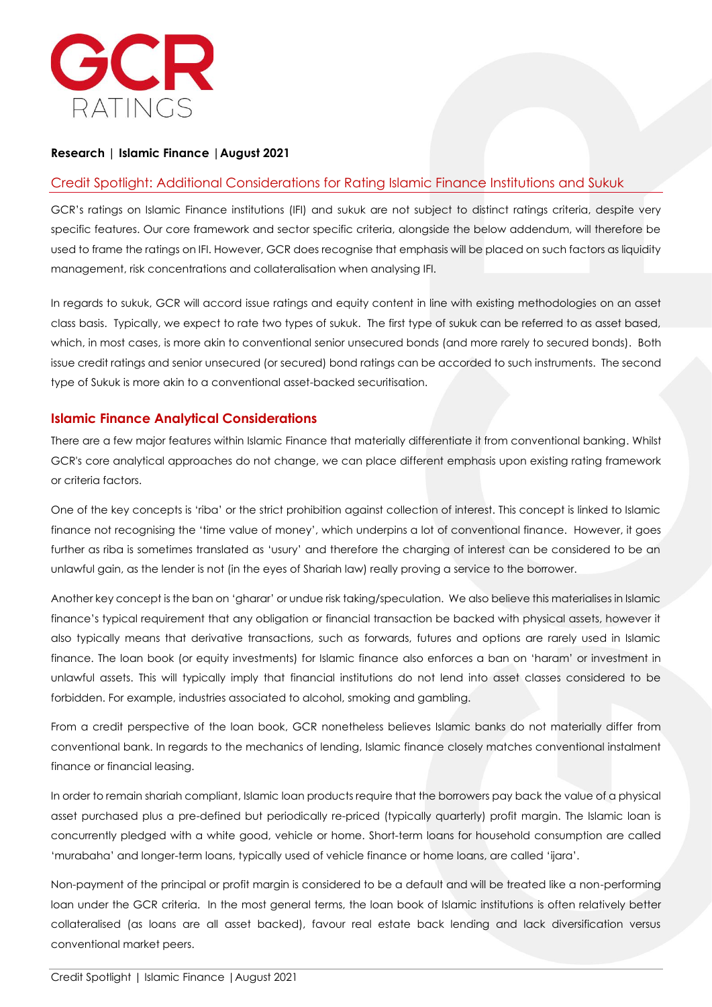

#### **Research | Islamic Finance |August 2021**

### Credit Spotlight: Additional Considerations for Rating Islamic Finance Institutions and Sukuk

GCR's ratings on Islamic Finance institutions (IFI) and sukuk are not subject to distinct ratings criteria, despite very specific features. Our core framework and sector specific criteria, alongside the below addendum, will therefore be used to frame the ratings on IFI. However, GCR does recognise that emphasis will be placed on such factors as liquidity management, risk concentrations and collateralisation when analysing IFI.

In regards to sukuk, GCR will accord issue ratings and equity content in line with existing methodologies on an asset class basis. Typically, we expect to rate two types of sukuk. The first type of sukuk can be referred to as asset based, which, in most cases, is more akin to conventional senior unsecured bonds (and more rarely to secured bonds). Both issue credit ratings and senior unsecured (or secured) bond ratings can be accorded to such instruments. The second type of Sukuk is more akin to a conventional asset-backed securitisation.

## **Islamic Finance Analytical Considerations**

There are a few major features within Islamic Finance that materially differentiate it from conventional banking. Whilst GCR's core analytical approaches do not change, we can place different emphasis upon existing rating framework or criteria factors.

One of the key concepts is 'riba' or the strict prohibition against collection of interest. This concept is linked to Islamic finance not recognising the 'time value of money', which underpins a lot of conventional finance. However, it goes further as riba is sometimes translated as 'usury' and therefore the charging of interest can be considered to be an unlawful gain, as the lender is not (in the eyes of Shariah law) really proving a service to the borrower.

Another key concept is the ban on 'gharar' or undue risk taking/speculation. We also believe this materialises in Islamic finance's typical requirement that any obligation or financial transaction be backed with physical assets, however it also typically means that derivative transactions, such as forwards, futures and options are rarely used in Islamic finance. The loan book (or equity investments) for Islamic finance also enforces a ban on 'haram' or investment in unlawful assets. This will typically imply that financial institutions do not lend into asset classes considered to be forbidden. For example, industries associated to alcohol, smoking and gambling.

From a credit perspective of the loan book, GCR nonetheless believes Islamic banks do not materially differ from conventional bank. In regards to the mechanics of lending, Islamic finance closely matches conventional instalment finance or financial leasing.

In order to remain shariah compliant, Islamic loan products require that the borrowers pay back the value of a physical asset purchased plus a pre-defined but periodically re-priced (typically quarterly) profit margin. The Islamic loan is concurrently pledged with a white good, vehicle or home. Short-term loans for household consumption are called 'murabaha' and longer-term loans, typically used of vehicle finance or home loans, are called 'ijara'.

Non-payment of the principal or profit margin is considered to be a default and will be treated like a non-performing loan under the GCR criteria. In the most general terms, the loan book of Islamic institutions is often relatively better collateralised (as loans are all asset backed), favour real estate back lending and lack diversification versus conventional market peers.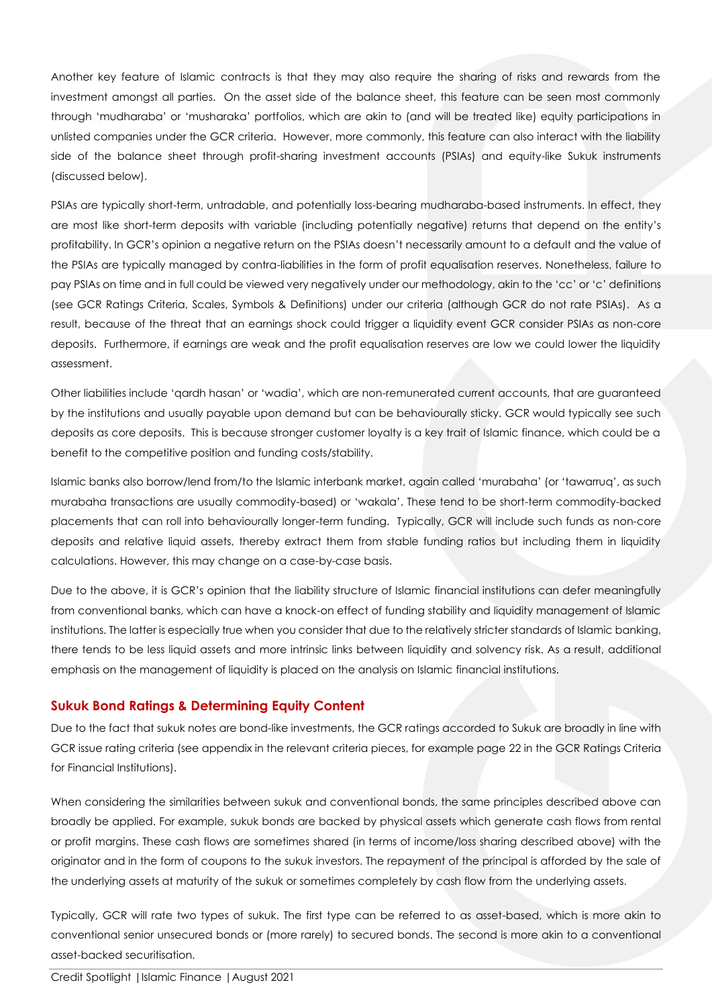Another key feature of Islamic contracts is that they may also require the sharing of risks and rewards from the investment amongst all parties. On the asset side of the balance sheet, this feature can be seen most commonly through 'mudharaba' or 'musharaka' portfolios, which are akin to (and will be treated like) equity participations in unlisted companies under the GCR criteria. However, more commonly, this feature can also interact with the liability side of the balance sheet through profit-sharing investment accounts (PSIAs) and equity-like Sukuk instruments (discussed below).

PSIAs are typically short-term, untradable, and potentially loss-bearing mudharaba-based instruments. In effect, they are most like short-term deposits with variable (including potentially negative) returns that depend on the entity's profitability. In GCR's opinion a negative return on the PSIAs doesn't necessarily amount to a default and the value of the PSIAs are typically managed by contra-liabilities in the form of profit equalisation reserves. Nonetheless, failure to pay PSIAs on time and in full could be viewed very negatively under our methodology, akin to the 'cc' or 'c' definitions (see GCR Ratings Criteria, Scales, Symbols & Definitions) under our criteria (although GCR do not rate PSIAs). As a result, because of the threat that an earnings shock could trigger a liquidity event GCR consider PSIAs as non-core deposits. Furthermore, if earnings are weak and the profit equalisation reserves are low we could lower the liquidity assessment.

Other liabilities include 'qardh hasan' or 'wadia', which are non-remunerated current accounts, that are guaranteed by the institutions and usually payable upon demand but can be behaviourally sticky. GCR would typically see such deposits as core deposits. This is because stronger customer loyalty is a key trait of Islamic finance, which could be a benefit to the competitive position and funding costs/stability.

Islamic banks also borrow/lend from/to the Islamic interbank market, again called 'murabaha' (or 'tawarruq', as such murabaha transactions are usually commodity-based) or 'wakala'. These tend to be short-term commodity-backed placements that can roll into behaviourally longer-term funding. Typically, GCR will include such funds as non-core deposits and relative liquid assets, thereby extract them from stable funding ratios but including them in liquidity calculations. However, this may change on a case-by-case basis.

Due to the above, it is GCR's opinion that the liability structure of Islamic financial institutions can defer meaningfully from conventional banks, which can have a knock-on effect of funding stability and liquidity management of Islamic institutions. The latter is especially true when you consider that due to the relatively stricter standards of Islamic banking, there tends to be less liquid assets and more intrinsic links between liquidity and solvency risk. As a result, additional emphasis on the management of liquidity is placed on the analysis on Islamic financial institutions.

### **Sukuk Bond Ratings & Determining Equity Content**

Due to the fact that sukuk notes are bond-like investments, the GCR ratings accorded to Sukuk are broadly in line with GCR issue rating criteria (see appendix in the relevant criteria pieces, for example page 22 in the GCR Ratings Criteria for Financial Institutions).

When considering the similarities between sukuk and conventional bonds, the same principles described above can broadly be applied. For example, sukuk bonds are backed by physical assets which generate cash flows from rental or profit margins. These cash flows are sometimes shared (in terms of income/loss sharing described above) with the originator and in the form of coupons to the sukuk investors. The repayment of the principal is afforded by the sale of the underlying assets at maturity of the sukuk or sometimes completely by cash flow from the underlying assets.

Typically, GCR will rate two types of sukuk. The first type can be referred to as asset-based, which is more akin to conventional senior unsecured bonds or (more rarely) to secured bonds. The second is more akin to a conventional asset-backed securitisation.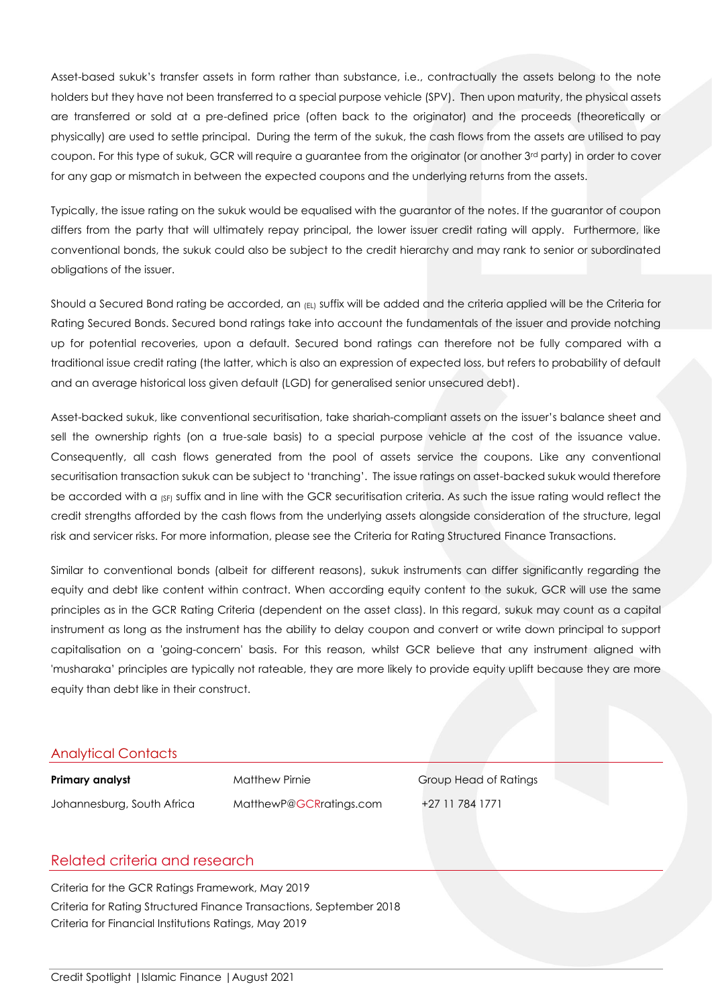Asset-based sukuk's transfer assets in form rather than substance, i.e., contractually the assets belong to the note holders but they have not been transferred to a special purpose vehicle (SPV). Then upon maturity, the physical assets are transferred or sold at a pre-defined price (often back to the originator) and the proceeds (theoretically or physically) are used to settle principal. During the term of the sukuk, the cash flows from the assets are utilised to pay coupon. For this type of sukuk, GCR will require a guarantee from the originator (or another 3rd party) in order to cover for any gap or mismatch in between the expected coupons and the underlying returns from the assets.

Typically, the issue rating on the sukuk would be equalised with the guarantor of the notes. If the guarantor of coupon differs from the party that will ultimately repay principal, the lower issuer credit rating will apply. Furthermore, like conventional bonds, the sukuk could also be subject to the credit hierarchy and may rank to senior or subordinated obligations of the issuer.

Should a Secured Bond rating be accorded, an  $_{\text{[EL]}}$  suffix will be added and the criteria applied will be the Criteria for Rating Secured Bonds. Secured bond ratings take into account the fundamentals of the issuer and provide notching up for potential recoveries, upon a default. Secured bond ratings can therefore not be fully compared with a traditional issue credit rating (the latter, which is also an expression of expected loss, but refers to probability of default and an average historical loss given default (LGD) for generalised senior unsecured debt).

Asset-backed sukuk, like conventional securitisation, take shariah-compliant assets on the issuer's balance sheet and sell the ownership rights (on a true-sale basis) to a special purpose vehicle at the cost of the issuance value. Consequently, all cash flows generated from the pool of assets service the coupons. Like any conventional securitisation transaction sukuk can be subject to 'tranching'. The issue ratings on asset-backed sukuk would therefore be accorded with a (SF) suffix and in line with the GCR securitisation criteria. As such the issue rating would reflect the credit strengths afforded by the cash flows from the underlying assets alongside consideration of the structure, legal risk and servicer risks. For more information, please see the Criteria for Rating Structured Finance Transactions.

Similar to conventional bonds (albeit for different reasons), sukuk instruments can differ significantly regarding the equity and debt like content within contract. When according equity content to the sukuk, GCR will use the same principles as in the GCR Rating Criteria (dependent on the asset class). In this regard, sukuk may count as a capital instrument as long as the instrument has the ability to delay coupon and convert or write down principal to support capitalisation on a 'going-concern' basis. For this reason, whilst GCR believe that any instrument aligned with 'musharaka' principles are typically not rateable, they are more likely to provide equity uplift because they are more equity than debt like in their construct.

# Analytical Contacts

**Primary analyst Matthew Pirnie Croup Head of Ratings Primary analyst Matthew Pirnie Croup Head of Ratings** Johannesburg, South Africa MatthewP@GCRratings.com + +27 11 784 1771

# Related criteria and research

Criteria for the GCR Ratings Framework, May 2019 Criteria for Rating Structured Finance Transactions, September 2018 Criteria for Financial Institutions Ratings, May 2019